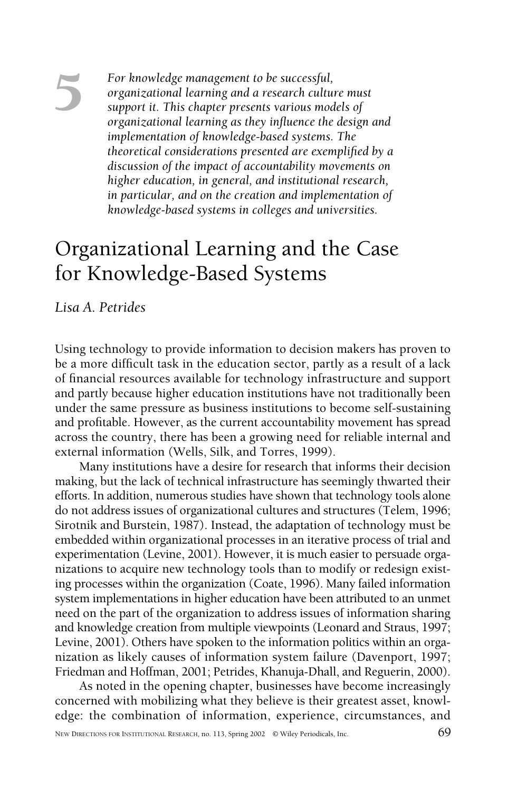5

*For knowledge management to be successful, organizational learning and a research culture must support it. This chapter presents various models of organizational learning as they influence the design and implementation of knowledge-based systems. The theoretical considerations presented are exemplified by a discussion of the impact of accountability movements on higher education, in general, and institutional research, in particular, and on the creation and implementation of knowledge-based systems in colleges and universities.*

# Organizational Learning and the Case for Knowledge-Based Systems

*Lisa A. Petrides*

Using technology to provide information to decision makers has proven to be a more difficult task in the education sector, partly as a result of a lack of financial resources available for technology infrastructure and support and partly because higher education institutions have not traditionally been under the same pressure as business institutions to become self-sustaining and profitable. However, as the current accountability movement has spread across the country, there has been a growing need for reliable internal and external information (Wells, Silk, and Torres, 1999).

Many institutions have a desire for research that informs their decision making, but the lack of technical infrastructure has seemingly thwarted their efforts. In addition, numerous studies have shown that technology tools alone do not address issues of organizational cultures and structures (Telem, 1996; Sirotnik and Burstein, 1987). Instead, the adaptation of technology must be embedded within organizational processes in an iterative process of trial and experimentation (Levine, 2001). However, it is much easier to persuade organizations to acquire new technology tools than to modify or redesign existing processes within the organization (Coate, 1996). Many failed information system implementations in higher education have been attributed to an unmet need on the part of the organization to address issues of information sharing and knowledge creation from multiple viewpoints (Leonard and Straus, 1997; Levine, 2001). Others have spoken to the information politics within an organization as likely causes of information system failure (Davenport, 1997; Friedman and Hoffman, 2001; Petrides, Khanuja-Dhall, and Reguerin, 2000).

As noted in the opening chapter, businesses have become increasingly concerned with mobilizing what they believe is their greatest asset, knowledge: the combination of information, experience, circumstances, and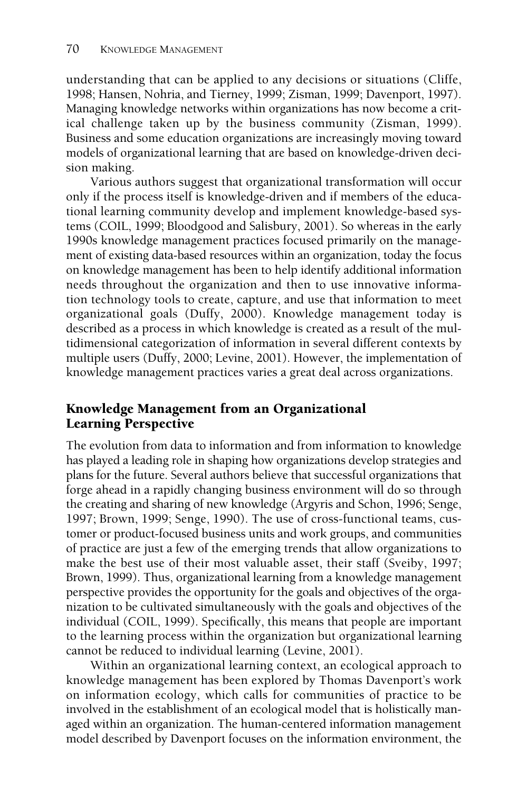understanding that can be applied to any decisions or situations (Cliffe, 1998; Hansen, Nohria, and Tierney, 1999; Zisman, 1999; Davenport, 1997). Managing knowledge networks within organizations has now become a critical challenge taken up by the business community (Zisman, 1999). Business and some education organizations are increasingly moving toward models of organizational learning that are based on knowledge-driven decision making.

Various authors suggest that organizational transformation will occur only if the process itself is knowledge-driven and if members of the educational learning community develop and implement knowledge-based systems (COIL, 1999; Bloodgood and Salisbury, 2001). So whereas in the early 1990s knowledge management practices focused primarily on the management of existing data-based resources within an organization, today the focus on knowledge management has been to help identify additional information needs throughout the organization and then to use innovative information technology tools to create, capture, and use that information to meet organizational goals (Duffy, 2000). Knowledge management today is described as a process in which knowledge is created as a result of the multidimensional categorization of information in several different contexts by multiple users (Duffy, 2000; Levine, 2001). However, the implementation of knowledge management practices varies a great deal across organizations.

## Knowledge Management from an Organizational Learning Perspective

The evolution from data to information and from information to knowledge has played a leading role in shaping how organizations develop strategies and plans for the future. Several authors believe that successful organizations that forge ahead in a rapidly changing business environment will do so through the creating and sharing of new knowledge (Argyris and Schon, 1996; Senge, 1997; Brown, 1999; Senge, 1990). The use of cross-functional teams, customer or product-focused business units and work groups, and communities of practice are just a few of the emerging trends that allow organizations to make the best use of their most valuable asset, their staff (Sveiby, 1997; Brown, 1999). Thus, organizational learning from a knowledge management perspective provides the opportunity for the goals and objectives of the organization to be cultivated simultaneously with the goals and objectives of the individual (COIL, 1999). Specifically, this means that people are important to the learning process within the organization but organizational learning cannot be reduced to individual learning (Levine, 2001).

Within an organizational learning context, an ecological approach to knowledge management has been explored by Thomas Davenport's work on information ecology, which calls for communities of practice to be involved in the establishment of an ecological model that is holistically managed within an organization. The human-centered information management model described by Davenport focuses on the information environment, the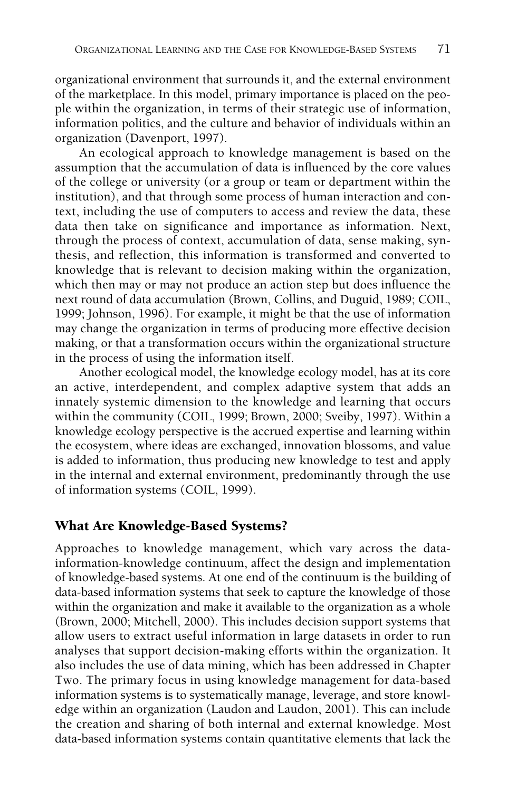organizational environment that surrounds it, and the external environment of the marketplace. In this model, primary importance is placed on the people within the organization, in terms of their strategic use of information, information politics, and the culture and behavior of individuals within an organization (Davenport, 1997).

An ecological approach to knowledge management is based on the assumption that the accumulation of data is influenced by the core values of the college or university (or a group or team or department within the institution), and that through some process of human interaction and context, including the use of computers to access and review the data, these data then take on significance and importance as information. Next, through the process of context, accumulation of data, sense making, synthesis, and reflection, this information is transformed and converted to knowledge that is relevant to decision making within the organization, which then may or may not produce an action step but does influence the next round of data accumulation (Brown, Collins, and Duguid, 1989; COIL, 1999; Johnson, 1996). For example, it might be that the use of information may change the organization in terms of producing more effective decision making, or that a transformation occurs within the organizational structure in the process of using the information itself.

Another ecological model, the knowledge ecology model, has at its core an active, interdependent, and complex adaptive system that adds an innately systemic dimension to the knowledge and learning that occurs within the community (COIL, 1999; Brown, 2000; Sveiby, 1997). Within a knowledge ecology perspective is the accrued expertise and learning within the ecosystem, where ideas are exchanged, innovation blossoms, and value is added to information, thus producing new knowledge to test and apply in the internal and external environment, predominantly through the use of information systems (COIL, 1999).

#### What Are Knowledge-Based Systems?

Approaches to knowledge management, which vary across the datainformation-knowledge continuum, affect the design and implementation of knowledge-based systems. At one end of the continuum is the building of data-based information systems that seek to capture the knowledge of those within the organization and make it available to the organization as a whole (Brown, 2000; Mitchell, 2000). This includes decision support systems that allow users to extract useful information in large datasets in order to run analyses that support decision-making efforts within the organization. It also includes the use of data mining, which has been addressed in Chapter Two. The primary focus in using knowledge management for data-based information systems is to systematically manage, leverage, and store knowledge within an organization (Laudon and Laudon, 2001). This can include the creation and sharing of both internal and external knowledge. Most data-based information systems contain quantitative elements that lack the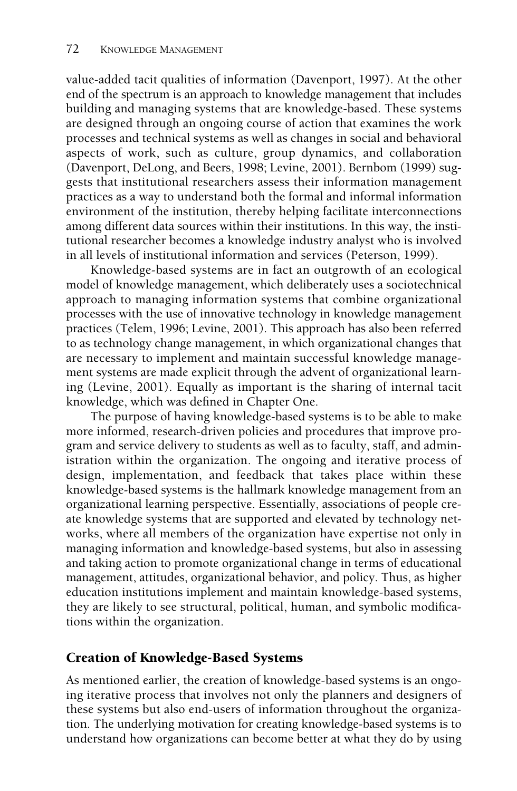value-added tacit qualities of information (Davenport, 1997). At the other end of the spectrum is an approach to knowledge management that includes building and managing systems that are knowledge-based. These systems are designed through an ongoing course of action that examines the work processes and technical systems as well as changes in social and behavioral aspects of work, such as culture, group dynamics, and collaboration (Davenport, DeLong, and Beers, 1998; Levine, 2001). Bernbom (1999) suggests that institutional researchers assess their information management practices as a way to understand both the formal and informal information environment of the institution, thereby helping facilitate interconnections among different data sources within their institutions. In this way, the institutional researcher becomes a knowledge industry analyst who is involved in all levels of institutional information and services (Peterson, 1999).

Knowledge-based systems are in fact an outgrowth of an ecological model of knowledge management, which deliberately uses a sociotechnical approach to managing information systems that combine organizational processes with the use of innovative technology in knowledge management practices (Telem, 1996; Levine, 2001). This approach has also been referred to as technology change management, in which organizational changes that are necessary to implement and maintain successful knowledge management systems are made explicit through the advent of organizational learning (Levine, 2001). Equally as important is the sharing of internal tacit knowledge, which was defined in Chapter One.

The purpose of having knowledge-based systems is to be able to make more informed, research-driven policies and procedures that improve program and service delivery to students as well as to faculty, staff, and administration within the organization. The ongoing and iterative process of design, implementation, and feedback that takes place within these knowledge-based systems is the hallmark knowledge management from an organizational learning perspective. Essentially, associations of people create knowledge systems that are supported and elevated by technology networks, where all members of the organization have expertise not only in managing information and knowledge-based systems, but also in assessing and taking action to promote organizational change in terms of educational management, attitudes, organizational behavior, and policy. Thus, as higher education institutions implement and maintain knowledge-based systems, they are likely to see structural, political, human, and symbolic modifications within the organization.

## Creation of Knowledge-Based Systems

As mentioned earlier, the creation of knowledge-based systems is an ongoing iterative process that involves not only the planners and designers of these systems but also end-users of information throughout the organization. The underlying motivation for creating knowledge-based systems is to understand how organizations can become better at what they do by using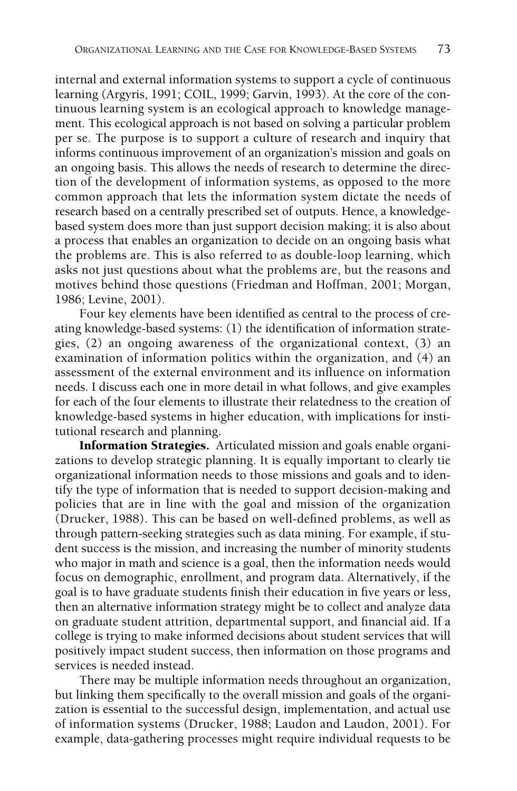internal and external information systems to support a cycle of continuous learning (Argyris, 1991; COIL, 1999; Garvin, 1993). At the core of the continuous learning system is an ecological approach to knowledge management. This ecological approach is not based on solving a particular problem per se. The purpose is to support a culture of research and inquiry that informs continuous improvement of an organization's mission and goals on an ongoing basis. This allows the needs of research to determine the direction of the development of information systems, as opposed to the more common approach that lets the information system dictate the needs of research based on a centrally prescribed set of outputs. Hence, a knowledgebased system does more than just support decision making; it is also about a process that enables an organization to decide on an ongoing basis what the problems are. This is also referred to as double-loop learning, which asks not just questions about what the problems are, but the reasons and motives behind those questions (Friedman and Hoffman, 2001; Morgan, 1986; Levine, 2001).

Four key elements have been identified as central to the process of creating knowledge-based systems: (1) the identification of information strategies, (2) an ongoing awareness of the organizational context, (3) an examination of information politics within the organization, and (4) an assessment of the external environment and its influence on information needs. I discuss each one in more detail in what follows, and give examples for each of the four elements to illustrate their relatedness to the creation of knowledge-based systems in higher education, with implications for institutional research and planning.

Information Strategies. Articulated mission and goals enable organizations to develop strategic planning. It is equally important to clearly tie organizational information needs to those missions and goals and to identify the type of information that is needed to support decision-making and policies that are in line with the goal and mission of the organization (Drucker, 1988). This can be based on well-defined problems, as well as through pattern-seeking strategies such as data mining. For example, if student success is the mission, and increasing the number of minority students who major in math and science is a goal, then the information needs would focus on demographic, enrollment, and program data. Alternatively, if the goal is to have graduate students finish their education in five years or less, then an alternative information strategy might be to collect and analyze data on graduate student attrition, departmental support, and financial aid. If a college is trying to make informed decisions about student services that will positively impact student success, then information on those programs and services is needed instead.

There may be multiple information needs throughout an organization, but linking them specifically to the overall mission and goals of the organization is essential to the successful design, implementation, and actual use of information systems (Drucker, 1988; Laudon and Laudon, 2001). For example, data-gathering processes might require individual requests to be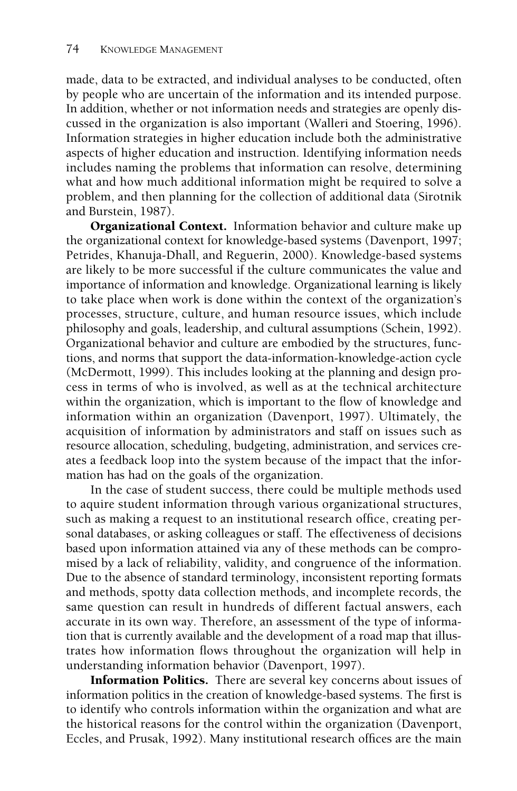made, data to be extracted, and individual analyses to be conducted, often by people who are uncertain of the information and its intended purpose. In addition, whether or not information needs and strategies are openly discussed in the organization is also important (Walleri and Stoering, 1996). Information strategies in higher education include both the administrative aspects of higher education and instruction. Identifying information needs includes naming the problems that information can resolve, determining what and how much additional information might be required to solve a problem, and then planning for the collection of additional data (Sirotnik and Burstein, 1987).

Organizational Context. Information behavior and culture make up the organizational context for knowledge-based systems (Davenport, 1997; Petrides, Khanuja-Dhall, and Reguerin, 2000). Knowledge-based systems are likely to be more successful if the culture communicates the value and importance of information and knowledge. Organizational learning is likely to take place when work is done within the context of the organization's processes, structure, culture, and human resource issues, which include philosophy and goals, leadership, and cultural assumptions (Schein, 1992). Organizational behavior and culture are embodied by the structures, functions, and norms that support the data-information-knowledge-action cycle (McDermott, 1999). This includes looking at the planning and design process in terms of who is involved, as well as at the technical architecture within the organization, which is important to the flow of knowledge and information within an organization (Davenport, 1997). Ultimately, the acquisition of information by administrators and staff on issues such as resource allocation, scheduling, budgeting, administration, and services creates a feedback loop into the system because of the impact that the information has had on the goals of the organization.

In the case of student success, there could be multiple methods used to aquire student information through various organizational structures, such as making a request to an institutional research office, creating personal databases, or asking colleagues or staff. The effectiveness of decisions based upon information attained via any of these methods can be compromised by a lack of reliability, validity, and congruence of the information. Due to the absence of standard terminology, inconsistent reporting formats and methods, spotty data collection methods, and incomplete records, the same question can result in hundreds of different factual answers, each accurate in its own way. Therefore, an assessment of the type of information that is currently available and the development of a road map that illustrates how information flows throughout the organization will help in understanding information behavior (Davenport, 1997).

Information Politics. There are several key concerns about issues of information politics in the creation of knowledge-based systems. The first is to identify who controls information within the organization and what are the historical reasons for the control within the organization (Davenport, Eccles, and Prusak, 1992). Many institutional research offices are the main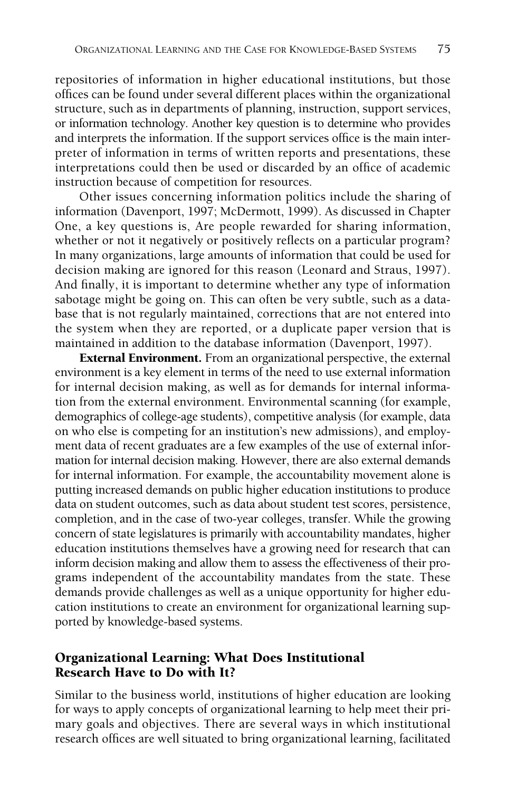repositories of information in higher educational institutions, but those offices can be found under several different places within the organizational structure, such as in departments of planning, instruction, support services, or information technology. Another key question is to determine who provides and interprets the information. If the support services office is the main interpreter of information in terms of written reports and presentations, these interpretations could then be used or discarded by an office of academic instruction because of competition for resources.

Other issues concerning information politics include the sharing of information (Davenport, 1997; McDermott, 1999). As discussed in Chapter One, a key questions is, Are people rewarded for sharing information, whether or not it negatively or positively reflects on a particular program? In many organizations, large amounts of information that could be used for decision making are ignored for this reason (Leonard and Straus, 1997). And finally, it is important to determine whether any type of information sabotage might be going on. This can often be very subtle, such as a database that is not regularly maintained, corrections that are not entered into the system when they are reported, or a duplicate paper version that is maintained in addition to the database information (Davenport, 1997).

**External Environment.** From an organizational perspective, the external environment is a key element in terms of the need to use external information for internal decision making, as well as for demands for internal information from the external environment. Environmental scanning (for example, demographics of college-age students), competitive analysis (for example, data on who else is competing for an institution's new admissions), and employment data of recent graduates are a few examples of the use of external information for internal decision making. However, there are also external demands for internal information. For example, the accountability movement alone is putting increased demands on public higher education institutions to produce data on student outcomes, such as data about student test scores, persistence, completion, and in the case of two-year colleges, transfer. While the growing concern of state legislatures is primarily with accountability mandates, higher education institutions themselves have a growing need for research that can inform decision making and allow them to assess the effectiveness of their programs independent of the accountability mandates from the state. These demands provide challenges as well as a unique opportunity for higher education institutions to create an environment for organizational learning supported by knowledge-based systems.

#### Organizational Learning: What Does Institutional Research Have to Do with It?

Similar to the business world, institutions of higher education are looking for ways to apply concepts of organizational learning to help meet their primary goals and objectives. There are several ways in which institutional research offices are well situated to bring organizational learning, facilitated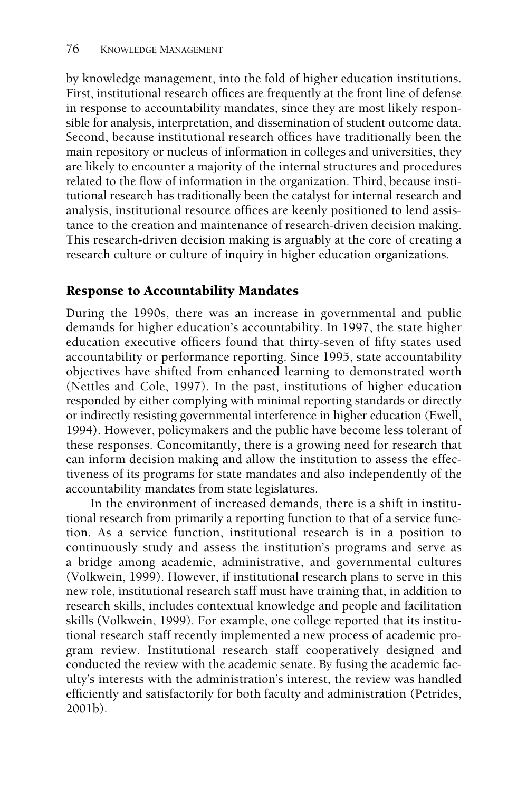by knowledge management, into the fold of higher education institutions. First, institutional research offices are frequently at the front line of defense in response to accountability mandates, since they are most likely responsible for analysis, interpretation, and dissemination of student outcome data. Second, because institutional research offices have traditionally been the main repository or nucleus of information in colleges and universities, they are likely to encounter a majority of the internal structures and procedures related to the flow of information in the organization. Third, because institutional research has traditionally been the catalyst for internal research and analysis, institutional resource offices are keenly positioned to lend assistance to the creation and maintenance of research-driven decision making. This research-driven decision making is arguably at the core of creating a research culture or culture of inquiry in higher education organizations.

## Response to Accountability Mandates

During the 1990s, there was an increase in governmental and public demands for higher education's accountability. In 1997, the state higher education executive officers found that thirty-seven of fifty states used accountability or performance reporting. Since 1995, state accountability objectives have shifted from enhanced learning to demonstrated worth (Nettles and Cole, 1997). In the past, institutions of higher education responded by either complying with minimal reporting standards or directly or indirectly resisting governmental interference in higher education (Ewell, 1994). However, policymakers and the public have become less tolerant of these responses. Concomitantly, there is a growing need for research that can inform decision making and allow the institution to assess the effectiveness of its programs for state mandates and also independently of the accountability mandates from state legislatures.

In the environment of increased demands, there is a shift in institutional research from primarily a reporting function to that of a service function. As a service function, institutional research is in a position to continuously study and assess the institution's programs and serve as a bridge among academic, administrative, and governmental cultures (Volkwein, 1999). However, if institutional research plans to serve in this new role, institutional research staff must have training that, in addition to research skills, includes contextual knowledge and people and facilitation skills (Volkwein, 1999). For example, one college reported that its institutional research staff recently implemented a new process of academic program review. Institutional research staff cooperatively designed and conducted the review with the academic senate. By fusing the academic faculty's interests with the administration's interest, the review was handled efficiently and satisfactorily for both faculty and administration (Petrides, 2001b).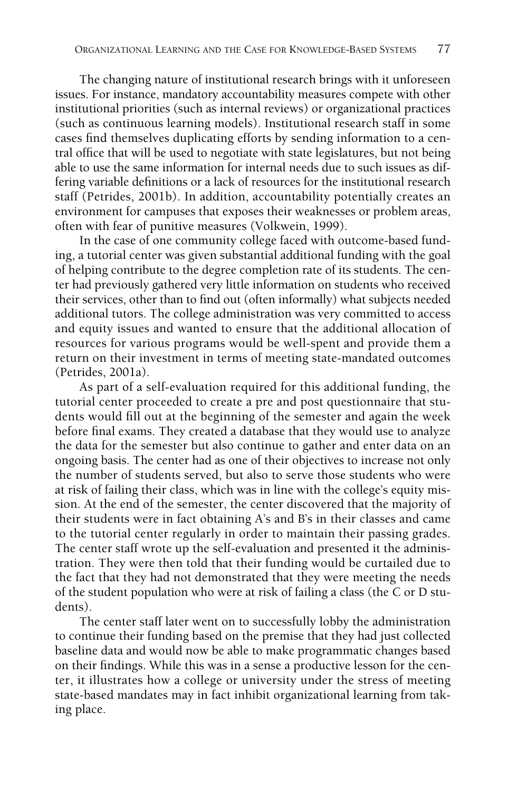The changing nature of institutional research brings with it unforeseen issues. For instance, mandatory accountability measures compete with other institutional priorities (such as internal reviews) or organizational practices (such as continuous learning models). Institutional research staff in some cases find themselves duplicating efforts by sending information to a central office that will be used to negotiate with state legislatures, but not being able to use the same information for internal needs due to such issues as differing variable definitions or a lack of resources for the institutional research staff (Petrides, 2001b). In addition, accountability potentially creates an environment for campuses that exposes their weaknesses or problem areas, often with fear of punitive measures (Volkwein, 1999).

In the case of one community college faced with outcome-based funding, a tutorial center was given substantial additional funding with the goal of helping contribute to the degree completion rate of its students. The center had previously gathered very little information on students who received their services, other than to find out (often informally) what subjects needed additional tutors. The college administration was very committed to access and equity issues and wanted to ensure that the additional allocation of resources for various programs would be well-spent and provide them a return on their investment in terms of meeting state-mandated outcomes (Petrides, 2001a).

As part of a self-evaluation required for this additional funding, the tutorial center proceeded to create a pre and post questionnaire that students would fill out at the beginning of the semester and again the week before final exams. They created a database that they would use to analyze the data for the semester but also continue to gather and enter data on an ongoing basis. The center had as one of their objectives to increase not only the number of students served, but also to serve those students who were at risk of failing their class, which was in line with the college's equity mission. At the end of the semester, the center discovered that the majority of their students were in fact obtaining A's and B's in their classes and came to the tutorial center regularly in order to maintain their passing grades. The center staff wrote up the self-evaluation and presented it the administration. They were then told that their funding would be curtailed due to the fact that they had not demonstrated that they were meeting the needs of the student population who were at risk of failing a class (the C or D students).

The center staff later went on to successfully lobby the administration to continue their funding based on the premise that they had just collected baseline data and would now be able to make programmatic changes based on their findings. While this was in a sense a productive lesson for the center, it illustrates how a college or university under the stress of meeting state-based mandates may in fact inhibit organizational learning from taking place.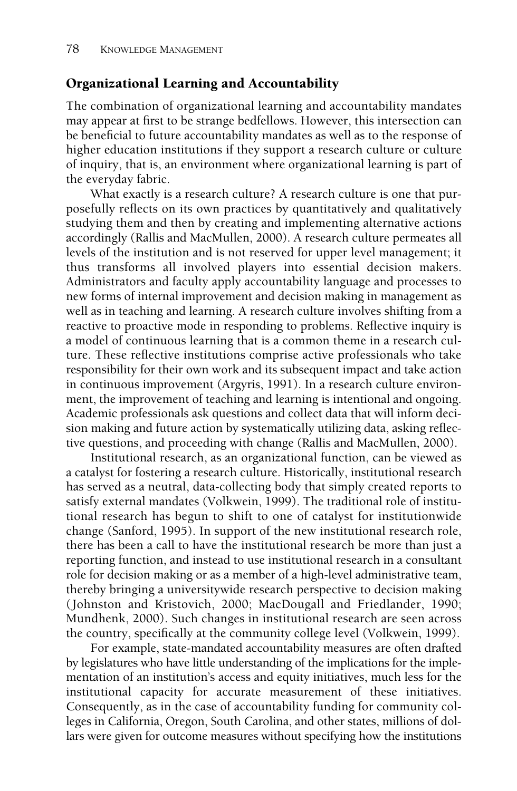## Organizational Learning and Accountability

The combination of organizational learning and accountability mandates may appear at first to be strange bedfellows. However, this intersection can be beneficial to future accountability mandates as well as to the response of higher education institutions if they support a research culture or culture of inquiry, that is, an environment where organizational learning is part of the everyday fabric.

What exactly is a research culture? A research culture is one that purposefully reflects on its own practices by quantitatively and qualitatively studying them and then by creating and implementing alternative actions accordingly (Rallis and MacMullen, 2000). A research culture permeates all levels of the institution and is not reserved for upper level management; it thus transforms all involved players into essential decision makers. Administrators and faculty apply accountability language and processes to new forms of internal improvement and decision making in management as well as in teaching and learning. A research culture involves shifting from a reactive to proactive mode in responding to problems. Reflective inquiry is a model of continuous learning that is a common theme in a research culture. These reflective institutions comprise active professionals who take responsibility for their own work and its subsequent impact and take action in continuous improvement (Argyris, 1991). In a research culture environment, the improvement of teaching and learning is intentional and ongoing. Academic professionals ask questions and collect data that will inform decision making and future action by systematically utilizing data, asking reflective questions, and proceeding with change (Rallis and MacMullen, 2000).

Institutional research, as an organizational function, can be viewed as a catalyst for fostering a research culture. Historically, institutional research has served as a neutral, data-collecting body that simply created reports to satisfy external mandates (Volkwein, 1999). The traditional role of institutional research has begun to shift to one of catalyst for institutionwide change (Sanford, 1995). In support of the new institutional research role, there has been a call to have the institutional research be more than just a reporting function, and instead to use institutional research in a consultant role for decision making or as a member of a high-level administrative team, thereby bringing a universitywide research perspective to decision making (Johnston and Kristovich, 2000; MacDougall and Friedlander, 1990; Mundhenk, 2000). Such changes in institutional research are seen across the country, specifically at the community college level (Volkwein, 1999).

For example, state-mandated accountability measures are often drafted by legislatures who have little understanding of the implications for the implementation of an institution's access and equity initiatives, much less for the institutional capacity for accurate measurement of these initiatives. Consequently, as in the case of accountability funding for community colleges in California, Oregon, South Carolina, and other states, millions of dollars were given for outcome measures without specifying how the institutions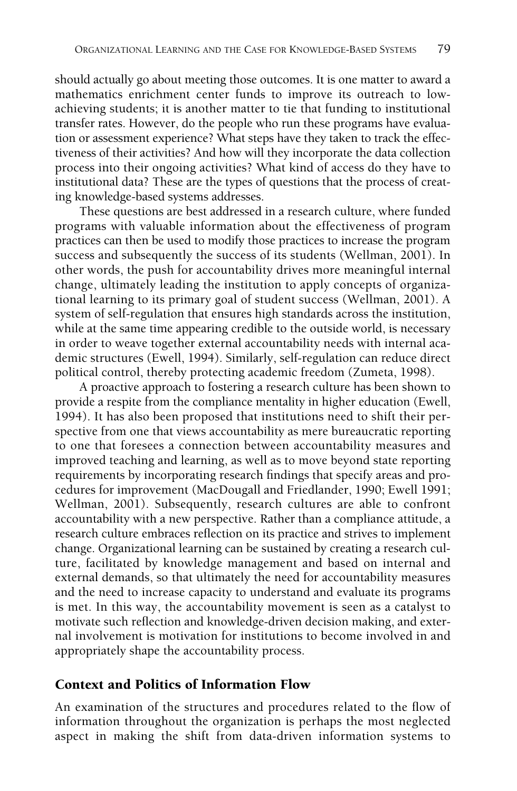should actually go about meeting those outcomes. It is one matter to award a mathematics enrichment center funds to improve its outreach to lowachieving students; it is another matter to tie that funding to institutional transfer rates. However, do the people who run these programs have evaluation or assessment experience? What steps have they taken to track the effectiveness of their activities? And how will they incorporate the data collection process into their ongoing activities? What kind of access do they have to institutional data? These are the types of questions that the process of creating knowledge-based systems addresses.

These questions are best addressed in a research culture, where funded programs with valuable information about the effectiveness of program practices can then be used to modify those practices to increase the program success and subsequently the success of its students (Wellman, 2001). In other words, the push for accountability drives more meaningful internal change, ultimately leading the institution to apply concepts of organizational learning to its primary goal of student success (Wellman, 2001). A system of self-regulation that ensures high standards across the institution, while at the same time appearing credible to the outside world, is necessary in order to weave together external accountability needs with internal academic structures (Ewell, 1994). Similarly, self-regulation can reduce direct political control, thereby protecting academic freedom (Zumeta, 1998).

A proactive approach to fostering a research culture has been shown to provide a respite from the compliance mentality in higher education (Ewell, 1994). It has also been proposed that institutions need to shift their perspective from one that views accountability as mere bureaucratic reporting to one that foresees a connection between accountability measures and improved teaching and learning, as well as to move beyond state reporting requirements by incorporating research findings that specify areas and procedures for improvement (MacDougall and Friedlander, 1990; Ewell 1991; Wellman, 2001). Subsequently, research cultures are able to confront accountability with a new perspective. Rather than a compliance attitude, a research culture embraces reflection on its practice and strives to implement change. Organizational learning can be sustained by creating a research culture, facilitated by knowledge management and based on internal and external demands, so that ultimately the need for accountability measures and the need to increase capacity to understand and evaluate its programs is met. In this way, the accountability movement is seen as a catalyst to motivate such reflection and knowledge-driven decision making, and external involvement is motivation for institutions to become involved in and appropriately shape the accountability process.

#### Context and Politics of Information Flow

An examination of the structures and procedures related to the flow of information throughout the organization is perhaps the most neglected aspect in making the shift from data-driven information systems to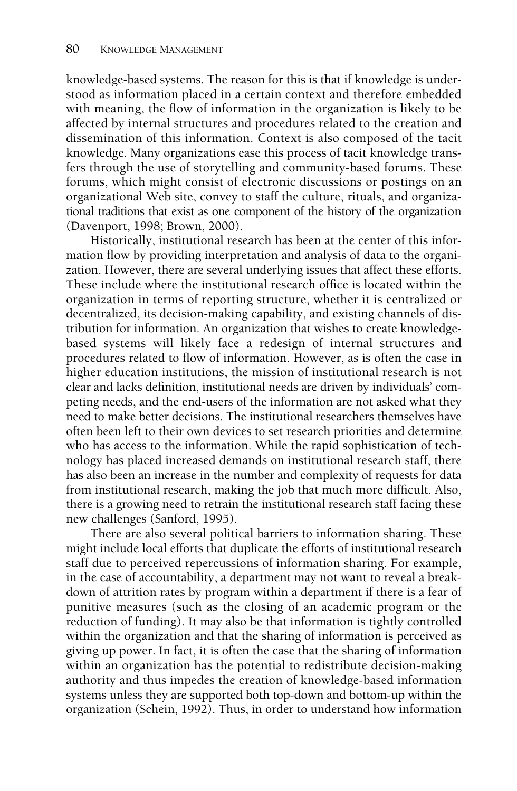knowledge-based systems. The reason for this is that if knowledge is understood as information placed in a certain context and therefore embedded with meaning, the flow of information in the organization is likely to be affected by internal structures and procedures related to the creation and dissemination of this information. Context is also composed of the tacit knowledge. Many organizations ease this process of tacit knowledge transfers through the use of storytelling and community-based forums. These forums, which might consist of electronic discussions or postings on an organizational Web site, convey to staff the culture, rituals, and organizational traditions that exist as one component of the history of the organization (Davenport, 1998; Brown, 2000).

Historically, institutional research has been at the center of this information flow by providing interpretation and analysis of data to the organization. However, there are several underlying issues that affect these efforts. These include where the institutional research office is located within the organization in terms of reporting structure, whether it is centralized or decentralized, its decision-making capability, and existing channels of distribution for information. An organization that wishes to create knowledgebased systems will likely face a redesign of internal structures and procedures related to flow of information. However, as is often the case in higher education institutions, the mission of institutional research is not clear and lacks definition, institutional needs are driven by individuals' competing needs, and the end-users of the information are not asked what they need to make better decisions. The institutional researchers themselves have often been left to their own devices to set research priorities and determine who has access to the information. While the rapid sophistication of technology has placed increased demands on institutional research staff, there has also been an increase in the number and complexity of requests for data from institutional research, making the job that much more difficult. Also, there is a growing need to retrain the institutional research staff facing these new challenges (Sanford, 1995).

There are also several political barriers to information sharing. These might include local efforts that duplicate the efforts of institutional research staff due to perceived repercussions of information sharing. For example, in the case of accountability, a department may not want to reveal a breakdown of attrition rates by program within a department if there is a fear of punitive measures (such as the closing of an academic program or the reduction of funding). It may also be that information is tightly controlled within the organization and that the sharing of information is perceived as giving up power. In fact, it is often the case that the sharing of information within an organization has the potential to redistribute decision-making authority and thus impedes the creation of knowledge-based information systems unless they are supported both top-down and bottom-up within the organization (Schein, 1992). Thus, in order to understand how information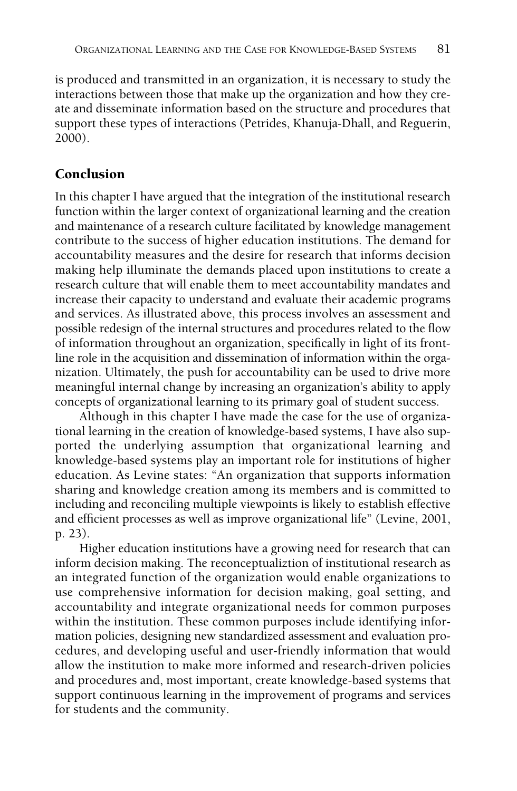is produced and transmitted in an organization, it is necessary to study the interactions between those that make up the organization and how they create and disseminate information based on the structure and procedures that support these types of interactions (Petrides, Khanuja-Dhall, and Reguerin, 2000).

#### Conclusion

In this chapter I have argued that the integration of the institutional research function within the larger context of organizational learning and the creation and maintenance of a research culture facilitated by knowledge management contribute to the success of higher education institutions. The demand for accountability measures and the desire for research that informs decision making help illuminate the demands placed upon institutions to create a research culture that will enable them to meet accountability mandates and increase their capacity to understand and evaluate their academic programs and services. As illustrated above, this process involves an assessment and possible redesign of the internal structures and procedures related to the flow of information throughout an organization, specifically in light of its frontline role in the acquisition and dissemination of information within the organization. Ultimately, the push for accountability can be used to drive more meaningful internal change by increasing an organization's ability to apply concepts of organizational learning to its primary goal of student success.

Although in this chapter I have made the case for the use of organizational learning in the creation of knowledge-based systems, I have also supported the underlying assumption that organizational learning and knowledge-based systems play an important role for institutions of higher education. As Levine states: "An organization that supports information sharing and knowledge creation among its members and is committed to including and reconciling multiple viewpoints is likely to establish effective and efficient processes as well as improve organizational life" (Levine, 2001, p. 23).

Higher education institutions have a growing need for research that can inform decision making. The reconceptualiztion of institutional research as an integrated function of the organization would enable organizations to use comprehensive information for decision making, goal setting, and accountability and integrate organizational needs for common purposes within the institution. These common purposes include identifying information policies, designing new standardized assessment and evaluation procedures, and developing useful and user-friendly information that would allow the institution to make more informed and research-driven policies and procedures and, most important, create knowledge-based systems that support continuous learning in the improvement of programs and services for students and the community.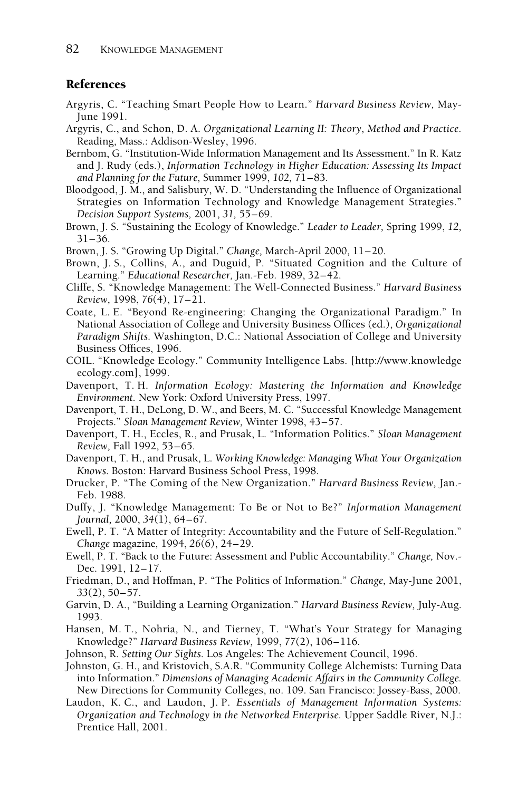#### References

- Argyris, C. "Teaching Smart People How to Learn." *Harvard Business Review,* May-June 1991.
- Argyris, C., and Schon, D. A. *Organizational Learning II: Theory, Method and Practice.* Reading, Mass.: Addison-Wesley, 1996.
- Bernbom, G. "Institution-Wide Information Management and Its Assessment." In R. Katz and J. Rudy (eds.), *Information Technology in Higher Education: Assessing Its Impact and Planning for the Future,* Summer 1999, *102,* 71–83.
- Bloodgood, J. M., and Salisbury, W. D. "Understanding the Influence of Organizational Strategies on Information Technology and Knowledge Management Strategies." *Decision Support Systems,* 2001, *31,* 55–69.
- Brown, J. S. "Sustaining the Ecology of Knowledge." *Leader to Leader,* Spring 1999, *12,* 31–36.
- Brown, J. S. "Growing Up Digital." *Change,* March-April 2000, 11–20.
- Brown, J. S., Collins, A., and Duguid, P. "Situated Cognition and the Culture of Learning." *Educational Researcher,* Jan.-Feb. 1989, 32–42.
- Cliffe, S. "Knowledge Management: The Well-Connected Business." *Harvard Business Review,* 1998, *76*(4), 17–21.
- Coate, L. E. "Beyond Re-engineering: Changing the Organizational Paradigm." In National Association of College and University Business Offices (ed.), *Organizational Paradigm Shifts.* Washington, D.C.: National Association of College and University Business Offices, 1996.
- COIL. "Knowledge Ecology." Community Intelligence Labs. [http://www.knowledge ecology.com], 1999.
- Davenport, T. H. *Information Ecology: Mastering the Information and Knowledge Environment.* New York: Oxford University Press, 1997.
- Davenport, T. H., DeLong, D. W., and Beers, M. C. "Successful Knowledge Management Projects." *Sloan Management Review,* Winter 1998, 43–57.
- Davenport, T. H., Eccles, R., and Prusak, L. "Information Politics." *Sloan Management Review,* Fall 1992, 53–65.
- Davenport, T. H., and Prusak, L. *Working Knowledge: Managing What Your Organization Knows.* Boston: Harvard Business School Press, 1998.
- Drucker, P. "The Coming of the New Organization." *Harvard Business Review,* Jan.- Feb. 1988.
- Duffy, J. "Knowledge Management: To Be or Not to Be?" *Information Management Journal,* 2000, *34*(1), 64–67.
- Ewell, P. T. "A Matter of Integrity: Accountability and the Future of Self-Regulation." *Change* magazine*,* 1994, *26*(6), 24–29.
- Ewell, P. T. "Back to the Future: Assessment and Public Accountability." *Change,* Nov.- Dec. 1991, 12–17.
- Friedman, D., and Hoffman, P. "The Politics of Information." *Change,* May-June 2001, *33*(2), 50–57.
- Garvin, D. A., "Building a Learning Organization." *Harvard Business Review,* July-Aug. 1993.
- Hansen, M. T., Nohria, N., and Tierney, T. "What's Your Strategy for Managing Knowledge?" *Harvard Business Review,* 1999, *77*(2), 106–116.
- Johnson, R. *Setting Our Sights.* Los Angeles: The Achievement Council, 1996.
- Johnston, G. H., and Kristovich, S.A.R. "Community College Alchemists: Turning Data into Information." *Dimensions of Managing Academic Affairs in the Community College.* New Directions for Community Colleges, no. 109. San Francisco: Jossey-Bass, 2000.
- Laudon, K. C., and Laudon, J. P. *Essentials of Management Information Systems: Organization and Technology in the Networked Enterprise.* Upper Saddle River, N.J.: Prentice Hall, 2001.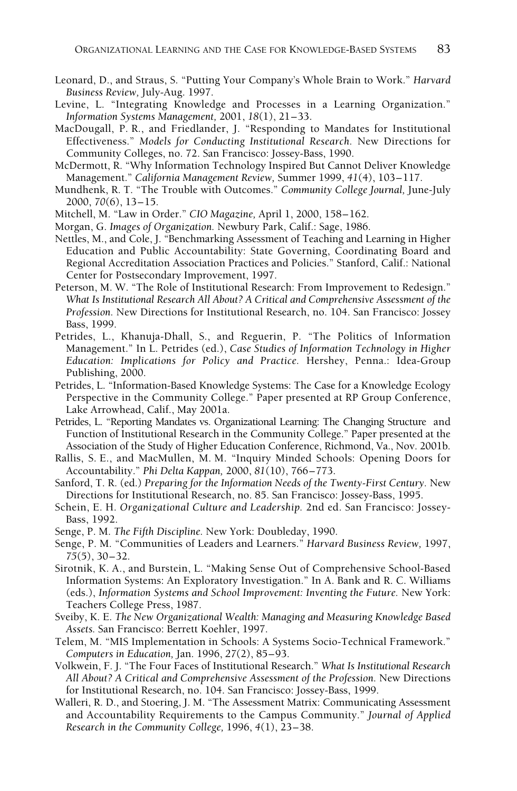- Leonard, D., and Straus, S. "Putting Your Company's Whole Brain to Work." *Harvard Business Review,* July-Aug. 1997.
- Levine, L. "Integrating Knowledge and Processes in a Learning Organization." *Information Systems Management,* 2001, *18*(1), 21–33.
- MacDougall, P. R., and Friedlander, J. "Responding to Mandates for Institutional Effectiveness." *Models for Conducting Institutional Research.* New Directions for Community Colleges, no. 72. San Francisco: Jossey-Bass, 1990.
- McDermott, R. "Why Information Technology Inspired But Cannot Deliver Knowledge Management." *California Management Review,* Summer 1999, *41*(4), 103–117.
- Mundhenk, R. T. "The Trouble with Outcomes." *Community College Journal,* June-July 2000, *70*(6), 13–15.
- Mitchell, M. "Law in Order." *CIO Magazine,* April 1, 2000, 158–162.
- Morgan, G. *Images of Organization.* Newbury Park, Calif.: Sage, 1986.
- Nettles, M., and Cole, J. "Benchmarking Assessment of Teaching and Learning in Higher Education and Public Accountability: State Governing, Coordinating Board and Regional Accreditation Association Practices and Policies." Stanford, Calif.: National Center for Postsecondary Improvement, 1997.
- Peterson, M. W. "The Role of Institutional Research: From Improvement to Redesign." *What Is Institutional Research All About? A Critical and Comprehensive Assessment of the Profession.* New Directions for Institutional Research, no. 104. San Francisco: Jossey Bass, 1999.
- Petrides, L., Khanuja-Dhall, S., and Reguerin, P. "The Politics of Information Management." In L. Petrides (ed.), *Case Studies of Information Technology in Higher Education: Implications for Policy and Practice.* Hershey, Penna.: Idea-Group Publishing, 2000.
- Petrides, L. "Information-Based Knowledge Systems: The Case for a Knowledge Ecology Perspective in the Community College." Paper presented at RP Group Conference, Lake Arrowhead, Calif., May 2001a.
- Petrides, L. "Reporting Mandates vs. Organizational Learning: The Changing Structure and Function of Institutional Research in the Community College." Paper presented at the Association of the Study of Higher Education Conference, Richmond, Va., Nov. 2001b.
- Rallis, S. E., and MacMullen, M. M. "Inquiry Minded Schools: Opening Doors for Accountability." *Phi Delta Kappan,* 2000, *81*(10), 766–773.
- Sanford, T. R. (ed.) *Preparing for the Information Needs of the Twenty-First Century.* New Directions for Institutional Research, no. 85. San Francisco: Jossey-Bass, 1995.
- Schein, E. H. *Organizational Culture and Leadership.* 2nd ed. San Francisco: Jossey-Bass, 1992.
- Senge, P. M. *The Fifth Discipline.* New York: Doubleday, 1990.
- Senge, P. M. "Communities of Leaders and Learners." *Harvard Business Review,* 1997, *75*(5), 30–32.
- Sirotnik, K. A., and Burstein, L. "Making Sense Out of Comprehensive School-Based Information Systems: An Exploratory Investigation." In A. Bank and R. C. Williams (eds.), *Information Systems and School Improvement: Inventing the Future.* New York: Teachers College Press, 1987.
- Sveiby, K. E. *The New Organizational Wealth: Managing and Measuring Knowledge Based Assets.* San Francisco: Berrett Koehler, 1997.
- Telem, M. "MIS Implementation in Schools: A Systems Socio-Technical Framework." *Computers in Education,* Jan. 1996, *27*(2), 85–93.
- Volkwein, F. J. "The Four Faces of Institutional Research." *What Is Institutional Research All About? A Critical and Comprehensive Assessment of the Profession.* New Directions for Institutional Research, no. 104. San Francisco: Jossey-Bass, 1999.
- Walleri, R. D., and Stoering, J. M. "The Assessment Matrix: Communicating Assessment and Accountability Requirements to the Campus Community." *Journal of Applied Research in the Community College,* 1996, *4*(1), 23–38.